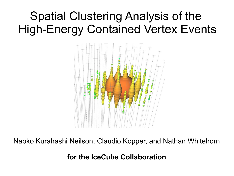## Spatial Clustering Analysis of the High-Energy Contained Vertex Events



Naoko Kurahashi Neilson, Claudio Kopper, and Nathan Whitehorn

**for the IceCube Collaboration**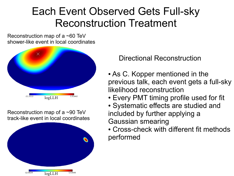#### Each Event Observed Gets Full-sky Reconstruction Treatment

Reconstruction map of a ~60 TeV shower-like event in local coordinates



Reconstruction map of a ~90 TeV track-like event in local coordinates



Directional Reconstruction

- As C. Kopper mentioned in the previous talk, each event gets a full-sky likelihood reconstruction
- Every PMT timing profile used for fit
- Systematic effects are studied and included by further applying a Gaussian smearing
- Cross-check with different fit methods performed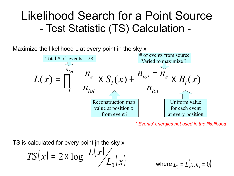#### Likelihood Search for a Point Source - Test Statistic (TS) Calculation -

Maximize the likelihood L at every point in the sky x



*\* Events' energies not used in the likelihood*

TS is calculated for every point in the sky x

$$
TS(x) = 2 \times \log \left( \frac{L(x)}{L_0(x)} \right)
$$

where  $L_0$  =  $L(x,n_s = 0)$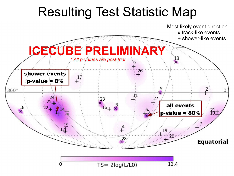# Resulting Test Statistic Map

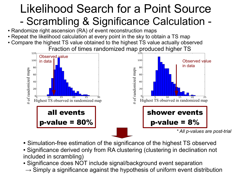## Likelihood Search for a Point Source - Scrambling & Significance Calculation -

- Randomize right ascension (RA) of event reconstruction maps
- Repeat the likelihood calculation at every point in the sky to obtain a TS map
- Compare the highest TS value obtained to the highest TS value actually observed Fraction of times randomized map produced higher TS



- Simulation-free estimation of the significance of the highest TS observed
- Significance derived only from RA clustering (clustering in declination not included in scrambling)
- Significance does NOT include signal/background event separation
- $\rightarrow$  Simply a significance against the hypothesis of uniform event distribution